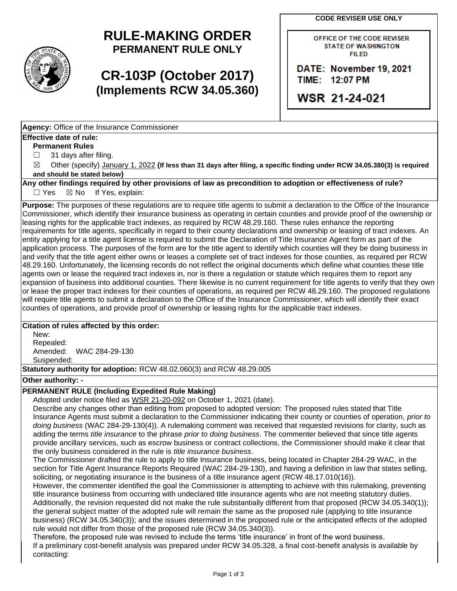**CODE REVISER USE ONLY** 



# **RULE-MAKING ORDER PERMANENT RULE ONLY**

# **CR-103P (October 2017) (Implements RCW 34.05.360)**

OFFICE OF THE CODE REVISER STATE OF WASHINGTON FIILED

**DATE: November 19, 2021 TIME:** 11.2:07 **PM** 

**WSR 21-24-021** 

**Agency:** Office of the Insurance Commissioner

#### **Effective date of rule:**

**Permanent Rules** 

 $\Box$ 31 days after filing.

 $\boxtimes$ Other (specify) January 1, 2022 (If less than 31 days after filing, a specific finding under RCW 34.05.380(3) is required **and should be stated below)** 

**Any other findings required by other provisions of law as precondition to adoption or effectiveness of rule?** 

 $\Box$  Yes  $\boxtimes$  No If Yes, explain:

 entity applying for a title agent license is required to submit the Declaration of Title Insurance Agent form as part of the application process. The purposes of the form are for the title agent to identify which counties will they be doing business in or lease the proper tract indexes for their counties of operations, as required per RCW 48.29.160. The proposed regulations **Purpose:** The purposes of these regulations are to require title agents to submit a declaration to the Office of the Insurance Commissioner, which identify their insurance business as operating in certain counties and provide proof of the ownership or leasing rights for the applicable tract indexes, as required by RCW 48.29.160. These rules enhance the reporting requirements for title agents, specifically in regard to their county declarations and ownership or leasing of tract indexes. An and verify that the title agent either owns or leases a complete set of tract indexes for those counties, as required per RCW 48.29.160. Unfortunately, the licensing records do not reflect the original documents which define what counties these title agents own or lease the required tract indexes in, nor is there a regulation or statute which requires them to report any expansion of business into additional counties. There likewise is no current requirement for title agents to verify that they own will require title agents to submit a declaration to the Office of the Insurance Commissioner, which will identify their exact counties of operations, and provide proof of ownership or leasing rights for the applicable tract indexes.

#### **Citation of rules affected by this order:**

New: Repealed: Amended: WAC 284-29-130 Suspended:

**Statutory authority for adoption:** RCW 48.02.060(3) and RCW 48.29.005

#### **Other authority: -**

### **PERMANENT RULE (Including Expedited Rule Making)**

Adopted under notice filed as WSR 21-20-092 on October 1, 2021 (date).

 Insurance Agents must submit a declaration to the Commissioner indicating their county or counties of operation, *prior to*  adding the terms *title insurance* to the phrase *prior to doing business*. The commenter believed that since title agents Describe any changes other than editing from proposed to adopted version: The proposed rules stated that Title *doing business* (WAC 284-29-130(4)). A rulemaking comment was received that requested revisions for clarity, such as provide ancillary services, such as escrow business or contract collections, the Commissioner should make it clear that the only business considered in the rule is *title insurance business*.

The Commissioner drafted the rule to apply to title Insurance business, being located in Chapter 284-29 WAC, in the section for Title Agent Insurance Reports Required (WAC 284-29-130), and having a definition in law that states selling, soliciting, or negotiating insurance is the business of a title insurance agent (RCW 48.17.010(16)).

 However, the commenter identified the goal the Commissioner is attempting to achieve with this rulemaking, preventing title insurance business from occurring with undeclared title insurance agents who are not meeting statutory duties. Additionally, the revision requested did not make the rule substantially different from that proposed (RCW 34.05.340(1)); the general subject matter of the adopted rule will remain the same as the proposed rule (applying to title insurance business) (RCW 34.05.340(3)); and the issues determined in the proposed rule or the anticipated effects of the adopted rule would not differ from those of the proposed rule (RCW 34.05.340(3)).

Therefore, the proposed rule was revised to include the terms 'title insurance' in front of the word business. If a preliminary cost-benefit analysis was prepared under RCW 34.05.328, a final cost-benefit analysis is available by contacting: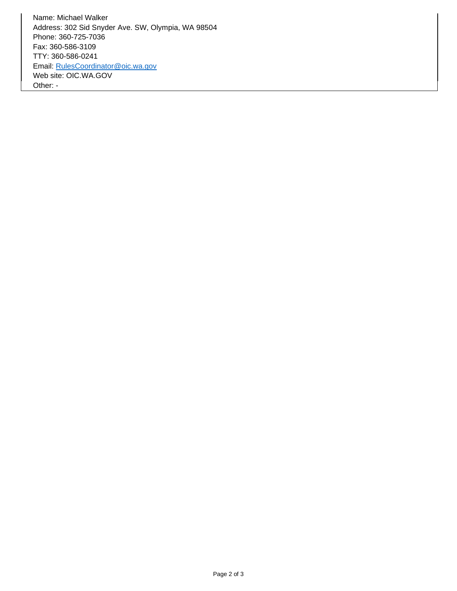Address: 302 Sid Snyder Ave. SW, Olympia, WA 98504 Name: Michael Walker Phone: 360-725-7036 Fax: 360-586-3109 TTY: 360-586-0241 Email: [RulesCoordinator@oic.wa.gov](mailto:RulesCoordinator@oic.wa.gov)  Web site: [OIC.WA.GOV](https://OIC.WA.GOV) Other: -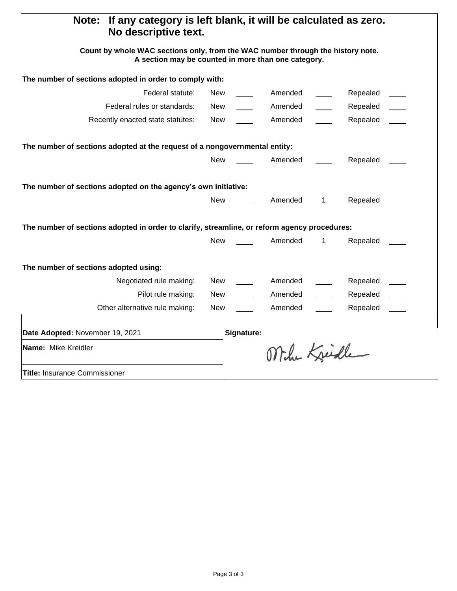| If any category is left blank, it will be calculated as zero.<br>Note:<br>No descriptive text.                                         |            |            |              |              |          |  |
|----------------------------------------------------------------------------------------------------------------------------------------|------------|------------|--------------|--------------|----------|--|
| Count by whole WAC sections only, from the WAC number through the history note.<br>A section may be counted in more than one category. |            |            |              |              |          |  |
| The number of sections adopted in order to comply with:                                                                                |            |            |              |              |          |  |
| Federal statute:                                                                                                                       | New        |            | Amended      |              | Repealed |  |
| Federal rules or standards:                                                                                                            | New        |            | Amended      |              | Repealed |  |
| Recently enacted state statutes:                                                                                                       | New        |            | Amended      |              | Repealed |  |
| The number of sections adopted at the request of a nongovernmental entity:                                                             |            |            |              |              |          |  |
|                                                                                                                                        | <b>New</b> |            | Amended      |              | Repealed |  |
| The number of sections adopted on the agency's own initiative:                                                                         |            |            |              |              |          |  |
|                                                                                                                                        | <b>New</b> |            | Amended      | $\mathbf{1}$ | Repealed |  |
| The number of sections adopted in order to clarify, streamline, or reform agency procedures:                                           |            |            |              |              |          |  |
|                                                                                                                                        | New        |            | Amended      | $\mathbf 1$  | Repealed |  |
| The number of sections adopted using:                                                                                                  |            |            |              |              |          |  |
| Negotiated rule making:                                                                                                                | New        |            | Amended      |              | Repealed |  |
| Pilot rule making:                                                                                                                     | New        |            | Amended      |              | Repealed |  |
| Other alternative rule making:                                                                                                         | <b>New</b> |            | Amended      |              | Repealed |  |
| Date Adopted: November 19, 2021                                                                                                        |            | Signature: |              |              |          |  |
| Name: Mike Kreidler                                                                                                                    |            |            | Mihr Kreidle |              |          |  |
| <b>Title: Insurance Commissioner</b>                                                                                                   |            |            |              |              |          |  |